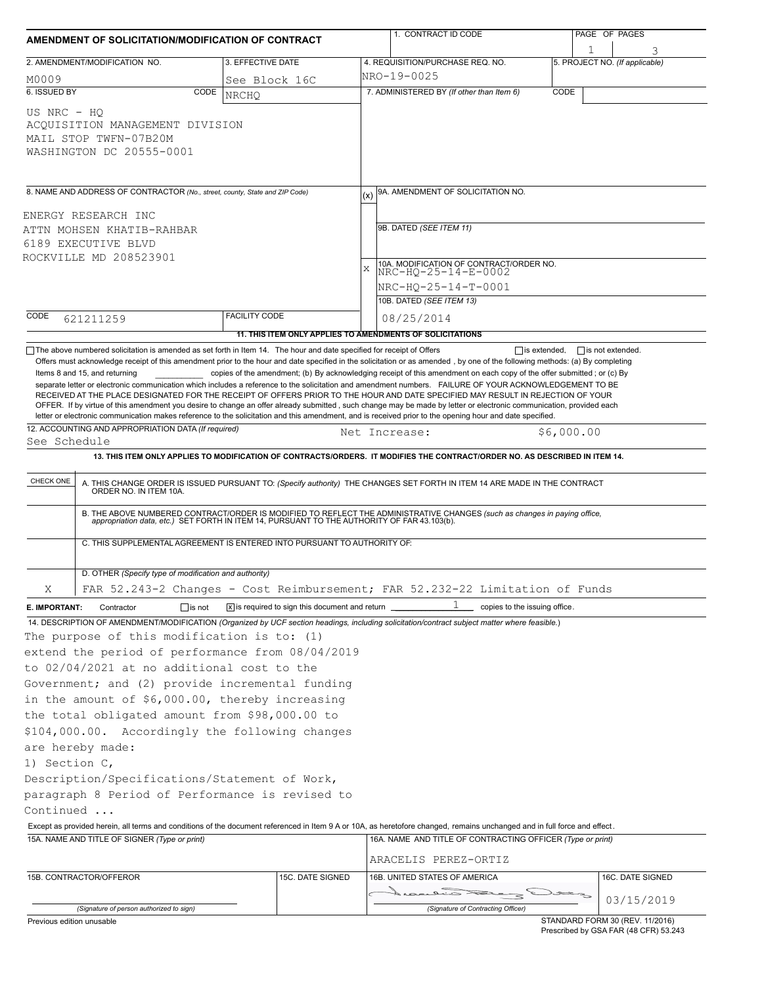| AMENDMENT OF SOLICITATION/MODIFICATION OF CONTRACT |                                                                                                                                                                                                                                                                                                                                                                                                                                                                                  |                                                               |                  | 1. CONTRACT ID CODE                                                                                                                                                                                                                                                                                                                                                                                                                                                                                                                                                                                                           |                               | PAGE OF PAGES                  |
|----------------------------------------------------|----------------------------------------------------------------------------------------------------------------------------------------------------------------------------------------------------------------------------------------------------------------------------------------------------------------------------------------------------------------------------------------------------------------------------------------------------------------------------------|---------------------------------------------------------------|------------------|-------------------------------------------------------------------------------------------------------------------------------------------------------------------------------------------------------------------------------------------------------------------------------------------------------------------------------------------------------------------------------------------------------------------------------------------------------------------------------------------------------------------------------------------------------------------------------------------------------------------------------|-------------------------------|--------------------------------|
|                                                    | 2. AMENDMENT/MODIFICATION NO.                                                                                                                                                                                                                                                                                                                                                                                                                                                    | 3. EFFECTIVE DATE                                             |                  | 4. REQUISITION/PURCHASE REQ. NO.                                                                                                                                                                                                                                                                                                                                                                                                                                                                                                                                                                                              |                               | 5. PROJECT NO. (If applicable) |
| M0009                                              |                                                                                                                                                                                                                                                                                                                                                                                                                                                                                  | See Block 16C                                                 |                  | NRO-19-0025                                                                                                                                                                                                                                                                                                                                                                                                                                                                                                                                                                                                                   |                               |                                |
| 6. ISSUED BY                                       | CODE                                                                                                                                                                                                                                                                                                                                                                                                                                                                             | <b>NRCHO</b>                                                  |                  | 7. ADMINISTERED BY (If other than Item 6)                                                                                                                                                                                                                                                                                                                                                                                                                                                                                                                                                                                     | CODE                          |                                |
| US NRC - HO                                        | ACQUISITION MANAGEMENT DIVISION<br>MAIL STOP TWFN-07B20M<br>WASHINGTON DC 20555-0001                                                                                                                                                                                                                                                                                                                                                                                             |                                                               |                  |                                                                                                                                                                                                                                                                                                                                                                                                                                                                                                                                                                                                                               |                               |                                |
|                                                    | 8. NAME AND ADDRESS OF CONTRACTOR (No., street, county, State and ZIP Code)                                                                                                                                                                                                                                                                                                                                                                                                      |                                                               |                  | 9A. AMENDMENT OF SOLICITATION NO.                                                                                                                                                                                                                                                                                                                                                                                                                                                                                                                                                                                             |                               |                                |
|                                                    | ENERGY RESEARCH INC                                                                                                                                                                                                                                                                                                                                                                                                                                                              |                                                               |                  |                                                                                                                                                                                                                                                                                                                                                                                                                                                                                                                                                                                                                               |                               |                                |
|                                                    | ATTN MOHSEN KHATIB-RAHBAR                                                                                                                                                                                                                                                                                                                                                                                                                                                        |                                                               |                  | 9B. DATED (SEE ITEM 11)                                                                                                                                                                                                                                                                                                                                                                                                                                                                                                                                                                                                       |                               |                                |
|                                                    | 6189 EXECUTIVE BLVD                                                                                                                                                                                                                                                                                                                                                                                                                                                              |                                                               |                  |                                                                                                                                                                                                                                                                                                                                                                                                                                                                                                                                                                                                                               |                               |                                |
|                                                    | ROCKVILLE MD 208523901                                                                                                                                                                                                                                                                                                                                                                                                                                                           |                                                               |                  | 10A. MODIFICATION OF CONTRACT/ORDER NO.                                                                                                                                                                                                                                                                                                                                                                                                                                                                                                                                                                                       |                               |                                |
|                                                    |                                                                                                                                                                                                                                                                                                                                                                                                                                                                                  |                                                               | $\mathbf x$      | NRC-HO-25-14-E-0002                                                                                                                                                                                                                                                                                                                                                                                                                                                                                                                                                                                                           |                               |                                |
|                                                    |                                                                                                                                                                                                                                                                                                                                                                                                                                                                                  |                                                               |                  | NRC-HQ-25-14-T-0001                                                                                                                                                                                                                                                                                                                                                                                                                                                                                                                                                                                                           |                               |                                |
|                                                    |                                                                                                                                                                                                                                                                                                                                                                                                                                                                                  |                                                               |                  | 10B. DATED (SEE ITEM 13)                                                                                                                                                                                                                                                                                                                                                                                                                                                                                                                                                                                                      |                               |                                |
| CODE                                               | 621211259                                                                                                                                                                                                                                                                                                                                                                                                                                                                        | <b>FACILITY CODE</b>                                          |                  | 08/25/2014                                                                                                                                                                                                                                                                                                                                                                                                                                                                                                                                                                                                                    |                               |                                |
|                                                    |                                                                                                                                                                                                                                                                                                                                                                                                                                                                                  |                                                               |                  | 11. THIS ITEM ONLY APPLIES TO AMENDMENTS OF SOLICITATIONS                                                                                                                                                                                                                                                                                                                                                                                                                                                                                                                                                                     |                               |                                |
|                                                    | $\Box$ The above numbered solicitation is amended as set forth in Item 14. The hour and date specified for receipt of Offers                                                                                                                                                                                                                                                                                                                                                     |                                                               |                  | Offers must acknowledge receipt of this amendment prior to the hour and date specified in the solicitation or as amended, by one of the following methods: (a) By completing                                                                                                                                                                                                                                                                                                                                                                                                                                                  | $\Box$ is extended,           | $\Box$ is not extended.        |
|                                                    | Items 8 and 15, and returning                                                                                                                                                                                                                                                                                                                                                                                                                                                    |                                                               |                  | copies of the amendment; (b) By acknowledging receipt of this amendment on each copy of the offer submitted; or (c) By                                                                                                                                                                                                                                                                                                                                                                                                                                                                                                        |                               |                                |
|                                                    |                                                                                                                                                                                                                                                                                                                                                                                                                                                                                  |                                                               |                  | separate letter or electronic communication which includes a reference to the solicitation and amendment numbers. FAILURE OF YOUR ACKNOWLEDGEMENT TO BE<br>RECEIVED AT THE PLACE DESIGNATED FOR THE RECEIPT OF OFFERS PRIOR TO THE HOUR AND DATE SPECIFIED MAY RESULT IN REJECTION OF YOUR<br>OFFER. If by virtue of this amendment you desire to change an offer already submitted, such change may be made by letter or electronic communication, provided each<br>letter or electronic communication makes reference to the solicitation and this amendment, and is received prior to the opening hour and date specified. |                               |                                |
|                                                    | 12. ACCOUNTING AND APPROPRIATION DATA (If required)                                                                                                                                                                                                                                                                                                                                                                                                                              |                                                               |                  |                                                                                                                                                                                                                                                                                                                                                                                                                                                                                                                                                                                                                               | \$6,000.00                    |                                |
| See Schedule                                       |                                                                                                                                                                                                                                                                                                                                                                                                                                                                                  |                                                               |                  | Net Increase:                                                                                                                                                                                                                                                                                                                                                                                                                                                                                                                                                                                                                 |                               |                                |
|                                                    | C. THIS SUPPLEMENTAL AGREEMENT IS ENTERED INTO PURSUANT TO AUTHORITY OF:                                                                                                                                                                                                                                                                                                                                                                                                         |                                                               |                  | A. THIS CHANGE ORDER IS ISSUED PURSUANT TO: (Specify authority) THE CHANGES SET FORTH IN ITEM 14 ARE MADE IN THE CONTRACT ORDER NO. IN ITEM 10A.<br>B. THE ABOVE NUMBERED CONTRACT/ORDER IS MODIFIED TO REFLECT THE ADMINISTRATIVE CHANGES (such as changes in paying office,<br>appropriation data, etc.) SET FORTH IN ITEM 14, PURSUANT TO THE AUTHORITY OF FAR 43.103(b).                                                                                                                                                                                                                                                  |                               |                                |
|                                                    | D. OTHER (Specify type of modification and authority)                                                                                                                                                                                                                                                                                                                                                                                                                            |                                                               |                  |                                                                                                                                                                                                                                                                                                                                                                                                                                                                                                                                                                                                                               |                               |                                |
| Χ                                                  |                                                                                                                                                                                                                                                                                                                                                                                                                                                                                  |                                                               |                  | FAR 52.243-2 Changes - Cost Reimbursement; FAR 52.232-22 Limitation of Funds                                                                                                                                                                                                                                                                                                                                                                                                                                                                                                                                                  |                               |                                |
| E. IMPORTANT:                                      | $\Box$ is not<br>Contractor                                                                                                                                                                                                                                                                                                                                                                                                                                                      | $ \overline{x} $ is required to sign this document and return |                  | T                                                                                                                                                                                                                                                                                                                                                                                                                                                                                                                                                                                                                             | copies to the issuing office. |                                |
|                                                    |                                                                                                                                                                                                                                                                                                                                                                                                                                                                                  |                                                               |                  | 14. DESCRIPTION OF AMENDMENT/MODIFICATION (Organized by UCF section headings, including solicitation/contract subject matter where feasible.)                                                                                                                                                                                                                                                                                                                                                                                                                                                                                 |                               |                                |
| 1) Section C,<br>Continued                         | The purpose of this modification is to: (1)<br>extend the period of performance from 08/04/2019<br>to 02/04/2021 at no additional cost to the<br>Government; and (2) provide incremental funding<br>in the amount of \$6,000.00, thereby increasing<br>the total obligated amount from \$98,000.00 to<br>\$104,000.00. Accordingly the following changes<br>are hereby made:<br>Description/Specifications/Statement of Work,<br>paragraph 8 Period of Performance is revised to |                                                               |                  | Except as provided herein, all terms and conditions of the document referenced in Item 9 A or 10A, as heretofore changed, remains unchanged and in full force and effect.                                                                                                                                                                                                                                                                                                                                                                                                                                                     |                               |                                |
|                                                    | 15A. NAME AND TITLE OF SIGNER (Type or print)                                                                                                                                                                                                                                                                                                                                                                                                                                    |                                                               |                  | 16A. NAME AND TITLE OF CONTRACTING OFFICER (Type or print)                                                                                                                                                                                                                                                                                                                                                                                                                                                                                                                                                                    |                               |                                |
|                                                    |                                                                                                                                                                                                                                                                                                                                                                                                                                                                                  |                                                               |                  |                                                                                                                                                                                                                                                                                                                                                                                                                                                                                                                                                                                                                               |                               |                                |
|                                                    |                                                                                                                                                                                                                                                                                                                                                                                                                                                                                  |                                                               |                  | ARACELIS PEREZ-ORTIZ                                                                                                                                                                                                                                                                                                                                                                                                                                                                                                                                                                                                          |                               |                                |
|                                                    | 15B. CONTRACTOR/OFFEROR                                                                                                                                                                                                                                                                                                                                                                                                                                                          |                                                               | 15C. DATE SIGNED | 16B. UNITED STATES OF AMERICA                                                                                                                                                                                                                                                                                                                                                                                                                                                                                                                                                                                                 |                               | 16C. DATE SIGNED               |
|                                                    |                                                                                                                                                                                                                                                                                                                                                                                                                                                                                  |                                                               |                  | Increased there                                                                                                                                                                                                                                                                                                                                                                                                                                                                                                                                                                                                               |                               | 03/15/2019                     |

Prescribed by GSA FAR (48 CFR) 53.243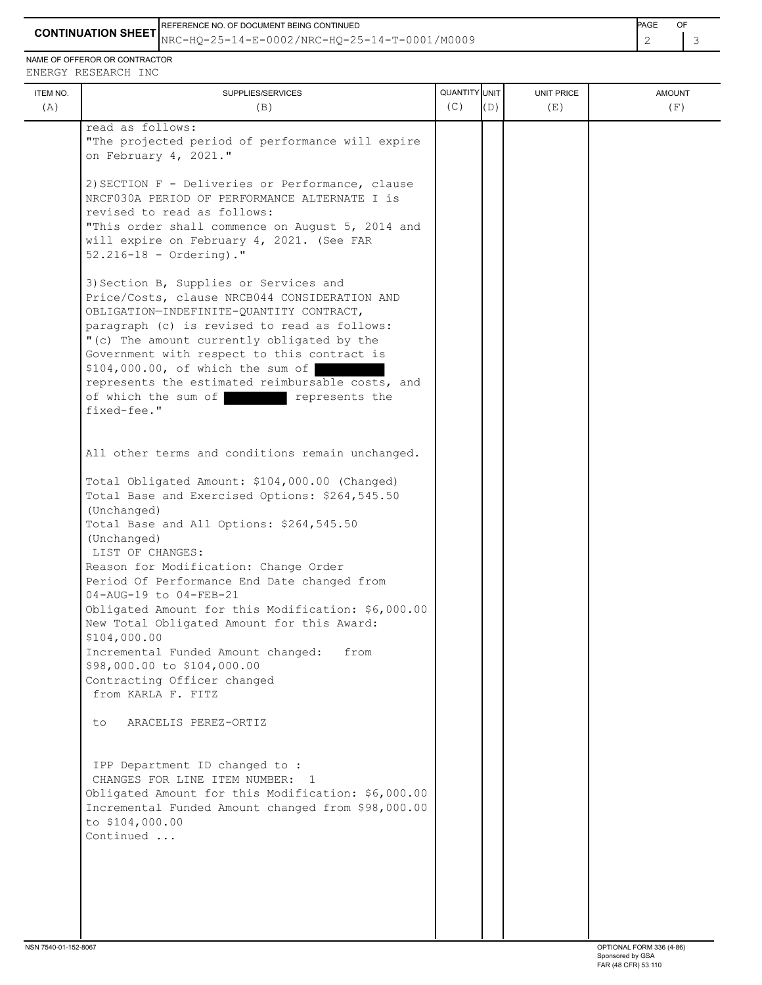REFERENCE NO. OF DOCUMENT BEING CONTINUED **Example 20 and 20 and 20 and 20 and 20 and 20 and 20 and 20 and 20 and 20 and 20 and 20 and 20 and 20 and 20 and 20 and 20 and 20 and 20 and 20 and 20 and 20 and 20 and 20 and 20** 

**CONTINUATION SHEET** NRC-HQ-25-14-E-0002/NRC-HQ-25-14-T-0001/M0009 2 3

NAME OF OFFEROR OR CONTRACTOR ENERGY RESEARCH INC

| ITEM NO. | SUPPLIES/SERVICES                                                                                                                                                                                                                                                                                                                                                                                                                 | QUANTITY UNIT |     | UNIT PRICE | <b>AMOUNT</b> |
|----------|-----------------------------------------------------------------------------------------------------------------------------------------------------------------------------------------------------------------------------------------------------------------------------------------------------------------------------------------------------------------------------------------------------------------------------------|---------------|-----|------------|---------------|
| (A)      | (B)                                                                                                                                                                                                                                                                                                                                                                                                                               | (C)           | (D) | (E)        | (F)           |
|          | read as follows:<br>"The projected period of performance will expire<br>on February 4, 2021."                                                                                                                                                                                                                                                                                                                                     |               |     |            |               |
|          | 2) SECTION F - Deliveries or Performance, clause<br>NRCF030A PERIOD OF PERFORMANCE ALTERNATE I is<br>revised to read as follows:<br>"This order shall commence on August 5, 2014 and<br>will expire on February 4, 2021. (See FAR<br>$52.216 - 18 -$ Ordering)."                                                                                                                                                                  |               |     |            |               |
|          | 3) Section B, Supplies or Services and<br>Price/Costs, clause NRCB044 CONSIDERATION AND<br>OBLIGATION-INDEFINITE-QUANTITY CONTRACT,<br>paragraph (c) is revised to read as follows:<br>"(c) The amount currently obligated by the<br>Government with respect to this contract is<br>\$104,000.00, of which the sum of<br>represents the estimated reimbursable costs, and<br>of which the sum of<br>represents the<br>fixed-fee." |               |     |            |               |
|          | All other terms and conditions remain unchanged.                                                                                                                                                                                                                                                                                                                                                                                  |               |     |            |               |
|          | Total Obligated Amount: \$104,000.00 (Changed)<br>Total Base and Exercised Options: \$264,545.50<br>(Unchanged)<br>Total Base and All Options: \$264,545.50<br>(Unchanged)<br>LIST OF CHANGES:<br>Reason for Modification: Change Order                                                                                                                                                                                           |               |     |            |               |
|          | Period Of Performance End Date changed from<br>04-AUG-19 to 04-FEB-21<br>Obligated Amount for this Modification: \$6,000.00<br>New Total Obligated Amount for this Award:<br>\$104,000.00                                                                                                                                                                                                                                         |               |     |            |               |
|          | Incremental Funded Amount changed:<br>from<br>\$98,000.00 to \$104,000.00<br>Contracting Officer changed<br>from KARLA F. FITZ                                                                                                                                                                                                                                                                                                    |               |     |            |               |
|          | ARACELIS PEREZ-ORTIZ<br>to.                                                                                                                                                                                                                                                                                                                                                                                                       |               |     |            |               |
|          | IPP Department ID changed to :<br>CHANGES FOR LINE ITEM NUMBER: 1<br>Obligated Amount for this Modification: \$6,000.00<br>Incremental Funded Amount changed from \$98,000.00<br>to \$104,000.00<br>Continued                                                                                                                                                                                                                     |               |     |            |               |
|          |                                                                                                                                                                                                                                                                                                                                                                                                                                   |               |     |            |               |